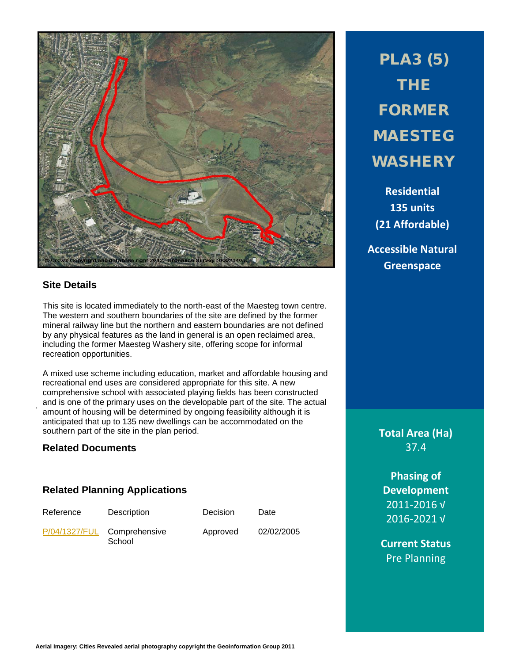

# **Site Details**

.

This site is located immediately to the north-east of the Maesteg town centre. The western and southern boundaries of the site are defined by the former mineral railway line but the northern and eastern boundaries are not defined by any physical features as the land in general is an open reclaimed area, including the former Maesteg Washery site, offering scope for informal recreation opportunities.

A mixed use scheme including education, market and affordable housing and recreational end uses are considered appropriate for this site. A new comprehensive school with associated playing fields has been constructed and is one of the primary uses on the developable part of the site. The actual amount of housing will be determined by ongoing feasibility although it is anticipated that up to 135 new dwellings can be accommodated on the southern part of the site in the plan period.

### **Related Documents**

## **Related Planning Applications**

| Reference | Description                           | Decision | Date       |
|-----------|---------------------------------------|----------|------------|
|           | P/04/1327/FUL Comprehensive<br>School | Approved | 02/02/2005 |

PLA3 (5) THE FORMER MAESTEG WASHERY

**Residential 135 units (21 Affordable)**

**Accessible Natural Greenspace**

**Total Area (Ha)** 37.4

**Phasing of Development** 2011-2016 √ 2016-2021 √

**Current Status** Pre Planning